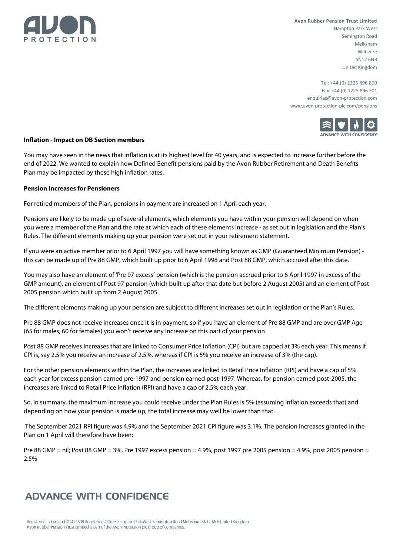

**Avon Rubber Pension Trust Limited** Hampton Park West Semington Road Melksham Wiltshire SN<sub>12</sub> 6NB United Kingdom

Tel: +44 (0) 1225 896 800 Fax: +44 (0) 1225 896 301 enquiries@avon-protection.com www.avon-protection-plc.com/pensions



## **Inflation - Impact on DB Section members**

You may have seen in the news that inflation is at its highest level for 40 years, and is expected to increase further before the end of 2022. We wanted to explain how Defined Benefit pensions paid by the Avon Rubber Retirement and Death Benefits Plan may be impacted by these high inflation rates.

### **Pension Increases for Pensioners**

For retired members of the Plan, pensions in payment are increased on 1 April each year.

Pensions are likely to be made up of several elements, which elements you have within your pension will depend on when you were a member of the Plan and the rate at which each of these elements increase - as set out in legislation and the Plan's Rules. The different elements making up your pension were set out in your retirement statement.

If you were an active member prior to 6 April 1997 you will have something known as GMP (Guaranteed Minimum Pension) this can be made up of Pre 88 GMP, which built up prior to 6 April 1998 and Post 88 GMP, which accrued after this date.

You may also have an element of 'Pre 97 excess' pension (which is the pension accrued prior to 6 April 1997 in excess of the GMP amount), an element of Post 97 pension (which built up after that date but before 2 August 2005) and an element of Post 2005 pension which built up from 2 August 2005.

The different elements making up your pension are subject to different increases set out in legislation or the Plan's Rules.

Pre 88 GMP does not receive increases once it is in payment, so if you have an element of Pre 88 GMP and are over GMP Age (65 for males, 60 for females) you won't receive any increase on this part of your pension.

Post 88 GMP receives increases that are linked to Consumer Price Inflation (CPI) but are capped at 3% each year. This means if CPI is, say 2.5% you receive an increase of 2.5%, whereas if CPI is 5% you receive an increase of 3% (the cap).

For the other pension elements within the Plan, the increases are linked to Retail Price Inflation (RPI) and have a cap of 5% each year for excess pension earned pre-1997 and pension earned post-1997. Whereas, for pension earned post-2005, the increases are linked to Retail Price Inflation (RPI) and have a cap of 2.5% each year.

So, in summary, the maximum increase you could receive under the Plan Rules is 5% (assuming inflation exceeds that) and depending on how your pension is made up, the total increase may well be lower than that.

The September 2021 RPI figure was 4.9% and the September 2021 CPI figure was 3.1%. The pension increases granted in the Plan on 1 April will therefore have been:

Pre 88 GMP = nil; Post 88 GMP = 3%, Pre 1997 excess pension = 4.9%, post 1997 pre 2005 pension = 4.9%, post 2005 pension = 2.5%

# **ADVANCE WITH CONFIDENCE**